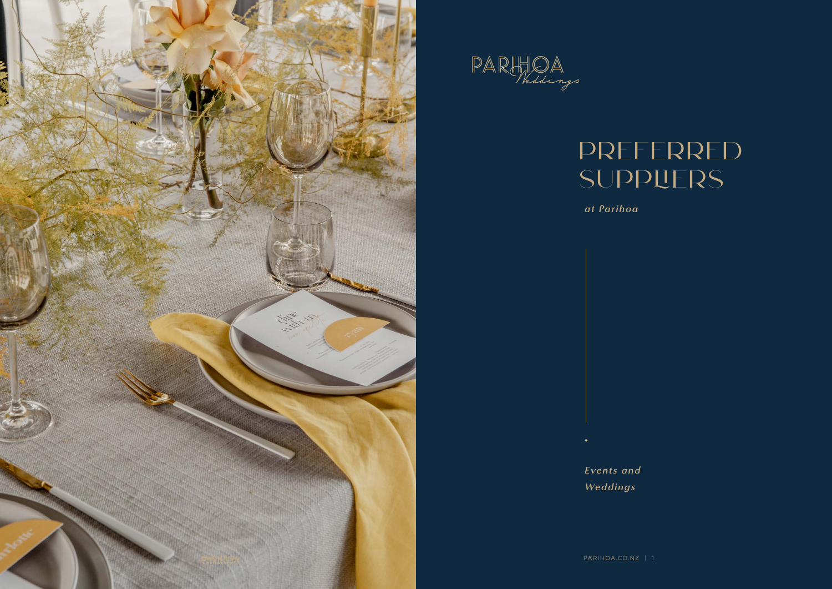



# Preferred **SUPPLIERS**

*at Parihoa*

*Events and Weddings*